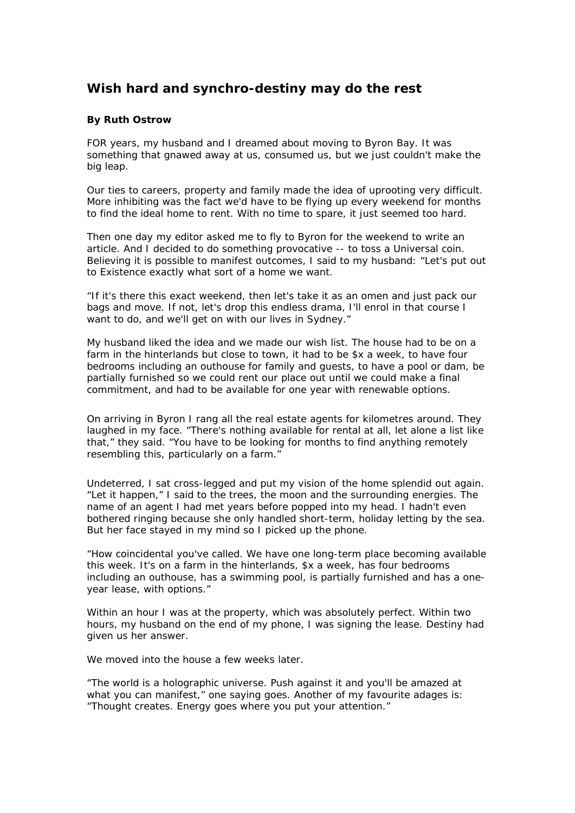## **Wish hard and synchro-destiny may do the rest**

## **By Ruth Ostrow**

FOR years, my husband and I dreamed about moving to Byron Bay. It was something that gnawed away at us, consumed us, but we just couldn't make the big leap.

Our ties to careers, property and family made the idea of uprooting very difficult. More inhibiting was the fact we'd have to be flying up every weekend for months to find the ideal home to rent. With no time to spare, it just seemed too hard.

Then one day my editor asked me to fly to Byron for the weekend to write an article. And I decided to do something provocative -- to toss a Universal coin. Believing it is possible to manifest outcomes, I said to my husband: "Let's put out to Existence exactly what sort of a home we want.

"If it's there this exact weekend, then let's take it as an omen and just pack our bags and move. If not, let's drop this endless drama, I'll enrol in that course I want to do, and we'll get on with our lives in Sydney."

My husband liked the idea and we made our wish list. The house had to be on a farm in the hinterlands but close to town, it had to be \$x a week, to have four bedrooms including an outhouse for family and guests, to have a pool or dam, be partially furnished so we could rent our place out until we could make a final commitment, and had to be available for one year with renewable options.

On arriving in Byron I rang all the real estate agents for kilometres around. They laughed in my face. "There's nothing available for rental at all, let alone a list like that," they said. "You have to be looking for months to find anything remotely resembling this, particularly on a farm."

Undeterred, I sat cross-legged and put my vision of the home splendid out again. "Let it happen," I said to the trees, the moon and the surrounding energies. The name of an agent I had met years before popped into my head. I hadn't even bothered ringing because she only handled short-term, holiday letting by the sea. But her face stayed in my mind so I picked up the phone.

"How coincidental you've called. We have one long-term place becoming available this week. It's on a farm in the hinterlands, \$x a week, has four bedrooms including an outhouse, has a swimming pool, is partially furnished and has a oneyear lease, with options."

Within an hour I was at the property, which was absolutely perfect. Within two hours, my husband on the end of my phone, I was signing the lease. Destiny had given us her answer.

We moved into the house a few weeks later.

"The world is a holographic universe. Push against it and you'll be amazed at what you can manifest," one saying goes. Another of my favourite adages is: "Thought creates. Energy goes where you put your attention."